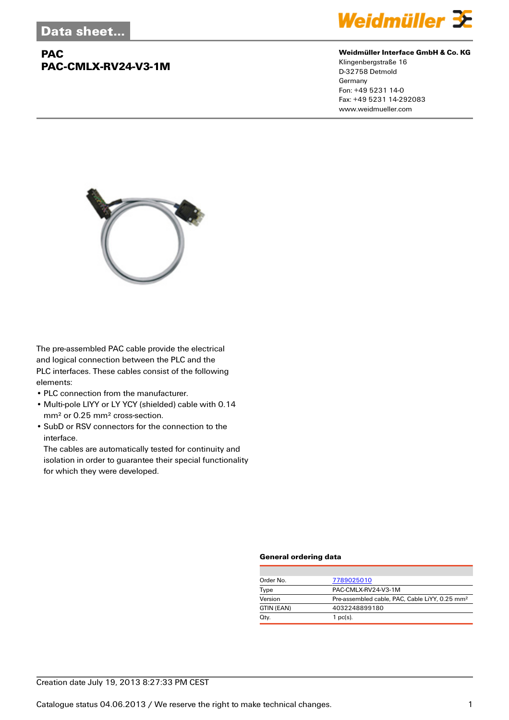# **PAC PAC-CMLX-RV24-V3-1M**



#### **Weidmüller Interface GmbH & Co. KG**

Klingenbergstraße 16 D-32758 Detmold Germany Fon: +49 5231 14-0 Fax: +49 5231 14-292083 www.weidmueller.com



The pre-assembled PAC cable provide the electrical and logical connection between the PLC and the PLC interfaces. These cables consist of the following elements:

- PLC connection from the manufacturer.
- Multi-pole LIYY or LY YCY (shielded) cable with 0.14 mm² or 0.25 mm² cross-section.
- SubD or RSV connectors for the connection to the interface.

The cables are automatically tested for continuity and isolation in order to guarantee their special functionality for which they were developed.

#### **General ordering data**

| Order No.  | 7789025010                                                 |
|------------|------------------------------------------------------------|
| Type       | PAC-CMLX-RV24-V3-1M                                        |
| Version    | Pre-assembled cable, PAC, Cable LiYY, 0.25 mm <sup>2</sup> |
| GTIN (EAN) | 4032248899180                                              |
| Qty.       | $1$ pc(s).                                                 |